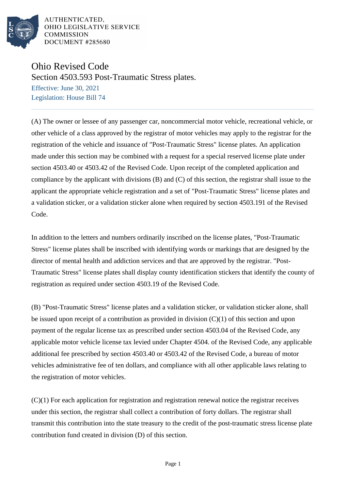

AUTHENTICATED. OHIO LEGISLATIVE SERVICE **COMMISSION** DOCUMENT #285680

## Ohio Revised Code

Section 4503.593 Post-Traumatic Stress plates.

Effective: June 30, 2021 Legislation: House Bill 74

(A) The owner or lessee of any passenger car, noncommercial motor vehicle, recreational vehicle, or other vehicle of a class approved by the registrar of motor vehicles may apply to the registrar for the registration of the vehicle and issuance of "Post-Traumatic Stress" license plates. An application made under this section may be combined with a request for a special reserved license plate under section 4503.40 or 4503.42 of the Revised Code. Upon receipt of the completed application and compliance by the applicant with divisions (B) and (C) of this section, the registrar shall issue to the applicant the appropriate vehicle registration and a set of "Post-Traumatic Stress" license plates and a validation sticker, or a validation sticker alone when required by section 4503.191 of the Revised Code.

In addition to the letters and numbers ordinarily inscribed on the license plates, "Post-Traumatic Stress" license plates shall be inscribed with identifying words or markings that are designed by the director of mental health and addiction services and that are approved by the registrar. "Post-Traumatic Stress" license plates shall display county identification stickers that identify the county of registration as required under section 4503.19 of the Revised Code.

(B) "Post-Traumatic Stress" license plates and a validation sticker, or validation sticker alone, shall be issued upon receipt of a contribution as provided in division (C)(1) of this section and upon payment of the regular license tax as prescribed under section 4503.04 of the Revised Code, any applicable motor vehicle license tax levied under Chapter 4504. of the Revised Code, any applicable additional fee prescribed by section 4503.40 or 4503.42 of the Revised Code, a bureau of motor vehicles administrative fee of ten dollars, and compliance with all other applicable laws relating to the registration of motor vehicles.

(C)(1) For each application for registration and registration renewal notice the registrar receives under this section, the registrar shall collect a contribution of forty dollars. The registrar shall transmit this contribution into the state treasury to the credit of the post-traumatic stress license plate contribution fund created in division (D) of this section.